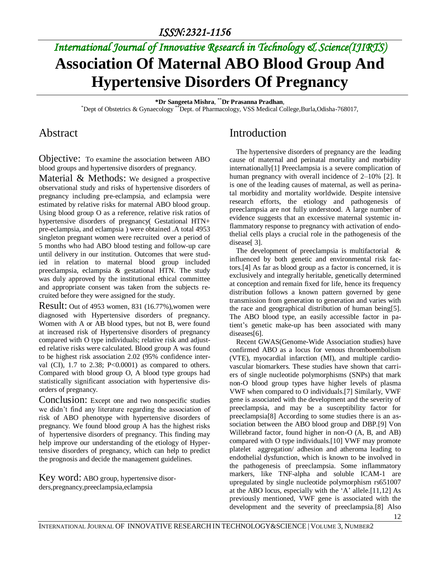# *International Journal of Innovative Research in Technology & Science(IJIRTS)* **Association Of Maternal ABO Blood Group And Hypertensive Disorders Of Pregnancy**

**\*Dr Sangeeta Mishra**, \*\***Dr Prasanna Pradhan**,

\*Dept of Obstetrics & Gynaecology \*\*Dept. of Pharmacology, VSS Medical College,Burla,Odisha-768017,

#### Abstract

Objective: To examine the association between ABO blood groups and hypertensive disorders of pregnancy.

Material & Methods: We designed a prospective observational study and risks of hypertensive disorders of pregnancy including pre-eclampsia, and eclampsia were estimated by relative risks for maternal ABO blood group. Using blood group O as a reference, relative risk ratios of hypertensive disorders of pregnancy( Gestational HTN+ pre-eclampsia, and eclampsia ) were obtained .A total 4953 singleton pregnant women were recruited over a period of 5 months who had ABO blood testing and follow-up care until delivery in our institution. Outcomes that were studied in relation to maternal blood group included preeclampsia, eclampsia & gestational HTN. The study was duly approved by the institutional ethical committee and appropriate consent was taken from the subjects recruited before they were assigned for the study.

Result: Out of 4953 women, 831 (16.77%),women were diagnosed with Hypertensive disorders of pregnancy. Women with A or AB blood types, but not B, were found at increased risk of Hypertensive disorders of pregnancy compared with O type individuals; relative risk and adjusted relative risks were calculated. Blood group A was found to be highest risk association 2.02 (95% confidence interval (CI),  $1.7$  to  $2.38$ ;  $P<0.0001$ ) as compared to others. Compared with blood group O, A blood type groups had statistically significant association with hypertensive disorders of pregnancy.

Conclusion: Except one and two nonspecific studies we didn't find any literature regarding the association of risk of ABO phenotype with hypertensive disorders of pregnancy. We found blood group A has the highest risks of hypertensive disorders of pregnancy. This finding may help improve our understanding of the etiology of Hypertensive disorders of pregnancy, which can help to predict the prognosis and decide the management guidelines.

Key word: ABO group, hypertensive disorders,pregnancy,preeclampsia,eclampsia

### Introduction

The hypertensive disorders of pregnancy are the leading cause of maternal and perinatal mortality and morbidity internationally[1] Preeclampsia is a severe complication of human pregnancy with overall incidence of 2–10% [2]. It is one of the leading causes of maternal, as well as perinatal morbidity and mortality worldwide. Despite intensive research efforts, the etiology and pathogenesis of preeclampsia are not fully understood. A large number of evidence suggests that an excessive maternal systemic inflammatory response to pregnancy with activation of endothelial cells plays a crucial role in the pathogenesis of the disease[ 3].

The development of preeclampsia is multifactorial & influenced by both genetic and environmental risk factors.[4] As far as blood group as a factor is concerned, it is exclusively and integrally heritable, genetically determined at conception and remain fixed for life, hence its frequency distribution follows a known pattern governed by gene transmission from generation to generation and varies with the race and geographical distribution of human being[5]. The ABO blood type, an easily accessible factor in patient's genetic make-up has been associated with many diseases[6].

Recent GWAS(Genome-Wide Association studies) have confirmed ABO as a locus for venous thromboembolism (VTE), myocardial infarction (MI), and multiple cardiovascular biomarkers. These studies have shown that carriers of single nucleotide polymorphisms (SNPs) that mark non-O blood group types have higher levels of plasma VWF when compared to O individuals.[7] Similarly, VWF gene is associated with the development and the severity of preeclampsia, and may be a susceptibility factor for preeclampsia[8] According to some studies there is an association between the ABO blood group and DBP.[9] Von Willebrand factor, found higher in non-O (A, B, and AB) compared with O type individuals.[10] VWF may promote platelet aggregation/ adhesion and atheroma leading to endothelial dysfunction, which is known to be involved in the pathogenesis of preeclampsia. Some inflammatory markers, like TNF-alpha and soluble ICAM-1 are upregulated by single nucleotide polymorphism rs651007 at the ABO locus, especially with the 'A' allele.[11,12] As previously mentioned, VWF gene is associated with the development and the severity of preeclampsia.[8] Also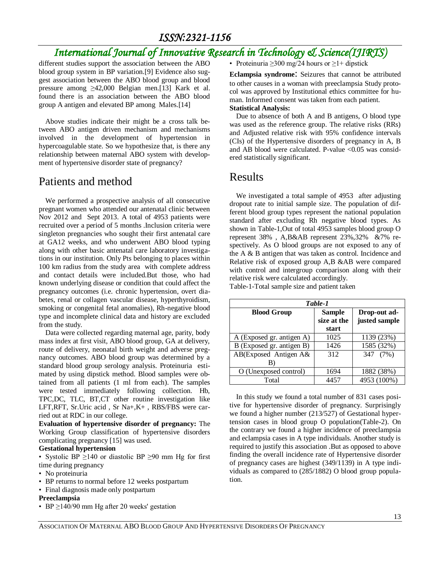# *International Journal of Innovative Research in Technology & Science(IJIRTS)*

different studies support the association between the ABO blood group system in BP variation.[9] Evidence also suggest association between the ABO blood group and blood pressure among ≥42,000 Belgian men.[13] Kark et al. found there is an association between the ABO blood group A antigen and elevated BP among Males.[14]

Above studies indicate their might be a cross talk between ABO antigen driven mechanism and mechanisms involved in the development of hypertension in hypercoagulable state. So we hypothesize that, is there any relationship between maternal ABO system with development of hypertensive disorder state of pregnancy?

#### Patients and method

We performed a prospective analysis of all consecutive pregnant women who attended our antenatal clinic between Nov 2012 and Sept 2013. A total of 4953 patients were recruited over a period of 5 months .Inclusion criteria were singleton pregnancies who sought their first antenatal care at GA12 weeks, and who underwent ABO blood typing along with other basic antenatal care laboratory investigations in our institution. Only Pts belonging to places within 100 km radius from the study area with complete address and contact details were included.But those, who had known underlying disease or condition that could affect the pregnancy outcomes (i.e. chronic hypertension, overt diabetes, renal or collagen vascular disease, hyperthyroidism, smoking or congenital fetal anomalies), Rh-negative blood type and incomplete clinical data and history are excluded from the study.

Data were collected regarding maternal age, parity, body mass index at first visit, ABO blood group, GA at delivery, route of delivery, neonatal birth weight and adverse pregnancy outcomes. ABO blood group was determined by a standard blood group serology analysis. Proteinuria estimated by using dipstick method. Blood samples were obtained from all patients (1 ml from each). The samples were tested immediately following collection. Hb, TPC,DC, TLC, BT,CT other routine investigation like LFT,RFT, Sr.Uric acid , Sr Na+,K+ , RBS/FBS were carried out at RDC in our college.

**Evaluation of hypertensive disorder of pregnancy:** The Working Group classification of hypertensive disorders complicating pregnancy [15] was used.

#### **Gestational hypertension**

• Systolic BP ≥140 or diastolic BP ≥90 mm Hg for first time during pregnancy

- No proteinuria
- BP returns to normal before 12 weeks postpartum
- Final diagnosis made only postpartum

#### **Preeclampsia**

• BP  $\geq$ 140/90 mm Hg after 20 weeks' gestation

• Proteinuria  $\geq$ 300 mg/24 hours or  $\geq$ 1+ dipstick

**Eclampsia syndrome**: Seizures that cannot be attributed to other causes in a woman with preeclampsia Study protocol was approved by Institutional ethics committee for human. Informed consent was taken from each patient. **Statistical Analysis:**

Due to absence of both A and B antigens, O blood type was used as the reference group. The relative risks (RRs) and Adjusted relative risk with 95% confidence intervals (CIs) of the Hypertensive disorders of pregnancy in A, B and AB blood were calculated. P-value <0.05 was considered statistically significant.

#### Results

We investigated a total sample of 4953 after adjusting dropout rate to initial sample size. The population of different blood group types represent the national population standard after excluding Rh negative blood types. As shown in Table-1,Out of total 4953 samples blood group O represent 38% , A,B&AB represent 23%,32% &7% respectively. As O blood groups are not exposed to any of the A & B antigen that was taken as control. Incidence and Relative risk of exposed group A,B &AB were compared with control and intergroup comparison along with their relative risk were calculated accordingly.

Table-1-Total sample size and patient taken

| Table-1                   |                                       |                               |  |  |
|---------------------------|---------------------------------------|-------------------------------|--|--|
| <b>Blood Group</b>        | <b>Sample</b><br>size at the<br>start | Drop-out ad-<br>justed sample |  |  |
| A (Exposed gr. antigen A) | 1025                                  | 1139 (23%)                    |  |  |
| B (Exposed gr. antigen B) | 1426                                  | 1585 (32%)                    |  |  |
| AB(Exposed Antigen A&     | 312                                   | 347 (7%)                      |  |  |
| O (Unexposed control)     | 1694                                  | 1882 (38%)                    |  |  |
| Total                     | 4457                                  | 4953 (100%)                   |  |  |

In this study we found a total number of 831 cases positive for hypertensive disorder of pregnancy. Surprisingly we found a higher number (213/527) of Gestational hypertension cases in blood group O population(Table-2). On the contrary we found a higher incidence of preeclampsia and eclampsia cases in A type individuals. Another study is required to justify this association .But as opposed to above finding the overall incidence rate of Hypertensive disorder of pregnancy cases are highest (349/1139) in A type individuals as compared to (285/1882) O blood group population.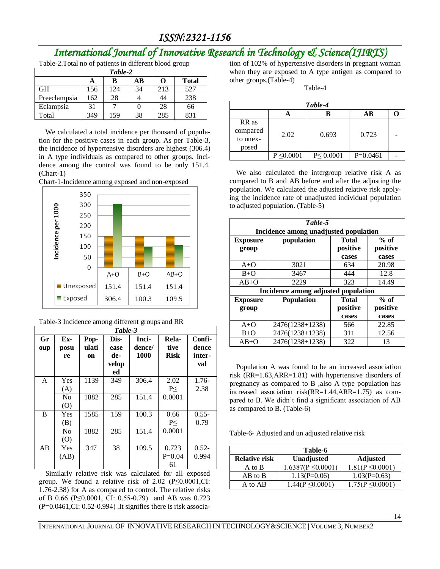## *International Journal of Innovative Research in Technology & Science(IJIRTS)*

Table-2.Total no of patients in different blood group

| Table-2      |     |     |    |     |              |
|--------------|-----|-----|----|-----|--------------|
|              | A   | в   | AВ |     | <b>Total</b> |
| <b>GH</b>    | 156 | 124 | 34 | 213 | 527          |
| Preeclampsia | 162 | 28  |    | 44  | 238          |
| Eclampsia    | 31  |     |    | 28  | 66           |
| Total        | 349 | 159 | 38 | 285 | 831          |

We calculated a total incidence per thousand of population for the positive cases in each group. As per Table-3, the incidence of hypertensive disorders are highest (306.4) in A type individuals as compared to other groups. Incidence among the control was found to be only 151.4. (Chart-1)





| Table-3 Incidence among different groups and RR |  |  |  |
|-------------------------------------------------|--|--|--|
|                                                 |  |  |  |

| Table-3   |                       |                     |                                    |                         |                              |                                  |
|-----------|-----------------------|---------------------|------------------------------------|-------------------------|------------------------------|----------------------------------|
| Gr<br>oup | Ex-<br>posu<br>re     | Pop-<br>ulati<br>on | Dis-<br>ease<br>de-<br>velop<br>ed | Inci-<br>dence/<br>1000 | Rela-<br>tive<br><b>Risk</b> | Confi-<br>dence<br>inter-<br>val |
| A         | Yes<br>(A)            | 1139                | 349                                | 306.4                   | 2.02<br>P<                   | $1.76-$<br>2.38                  |
|           | N <sub>0</sub><br>(O) | 1882                | 285                                | 151.4                   | 0.0001                       |                                  |
| B         | Yes<br>(B)            | 1585                | 159                                | 100.3                   | 0.66<br>P<                   | $0.55 -$<br>0.79                 |
|           | N <sub>0</sub><br>(0) | 1882                | 285                                | 151.4                   | 0.0001                       |                                  |
| AB        | Yes<br>(AB)           | 347                 | 38                                 | 109.5                   | 0.723<br>$P=0.04$<br>61      | $0.52 -$<br>0.994                |

Similarly relative risk was calculated for all exposed group. We found a relative risk of  $2.02$  (P $\leq$ 0.0001,CI: 1.76-2.38) for A as compared to control. The relative risks of B 0.66 (P≤0.0001, CI: 0.55-0.79) and AB was 0.723  $(P=0.0461, CI: 0.52-0.994)$ . It signifies there is risk association of 102% of hypertensive disorders in pregnant woman when they are exposed to A type antigen as compared to other groups.(Table-4)

Table-4

| Table-4                                |                 |                |            |  |  |
|----------------------------------------|-----------------|----------------|------------|--|--|
|                                        |                 |                | AВ         |  |  |
| RR as<br>compared<br>to unex-<br>posed | 2.02            | 0.693          | 0.723      |  |  |
|                                        | $P \leq 0.0001$ | $P \le 0.0001$ | $P=0.0461$ |  |  |

 We also calculated the intergroup relative risk A as compared to B and AB before and after the adjusting the population. We calculated the adjusted relative risk applying the incidence rate of unadjusted individual population to adjusted population. (Table-5)

| Table-5         |                                       |              |          |  |  |
|-----------------|---------------------------------------|--------------|----------|--|--|
|                 | Incidence among unadjusted population |              |          |  |  |
| <b>Exposure</b> | population<br><b>Total</b>            |              | $%$ of   |  |  |
| group           |                                       | positive     | positive |  |  |
|                 |                                       | cases        | cases    |  |  |
| $A+O$           | 3021                                  | 634          | 20.98    |  |  |
| $B+O$           | 3467                                  | 444          | 12.8     |  |  |
| $AB+O$          | 2229                                  | 323          | 14.49    |  |  |
|                 | Incidence among adjusted population   |              |          |  |  |
| <b>Exposure</b> | <b>Population</b>                     | <b>Total</b> | $%$ of   |  |  |
| group           |                                       | positive     | positive |  |  |
|                 |                                       | cases        | cases    |  |  |
| $A+O$           | 2476(1238+1238)                       | 566          | 22.85    |  |  |
| $B+O$           | 2476(1238+1238)                       | 311          | 12.56    |  |  |
| $AB+O$          | 2476(1238+1238)                       | 322          | 13       |  |  |

Population A was found to be an increased association risk (RR=1.63,ARR=1.81) with hypertensive disorders of pregnancy as compared to B ,also A type population has increased association risk(RR=1.44,ARR=1.75) as compared to B. We didn't find a significant association of AB as compared to B. (Table-6)

Table-6- Adjusted and un adjusted relative risk

| Table-6              |                        |                      |  |  |
|----------------------|------------------------|----------------------|--|--|
| <b>Relative risk</b> | <b>Unadjusted</b>      | <b>Adjusted</b>      |  |  |
| A to B               | $1.6387(P \le 0.0001)$ | $1.81(P \le 0.0001)$ |  |  |
| AB to B              | $1.13(P=0.06)$         | $1.03(P=0.63)$       |  |  |
| A to AB              | $1.44(P \le 0.0001)$   | $1.75(P \le 0.0001)$ |  |  |

INTERNATIONAL JOURNAL OF INNOVATIVE RESEARCH IN TECHNOLOGY&SCIENCE | VOLUME 3, NUMBER2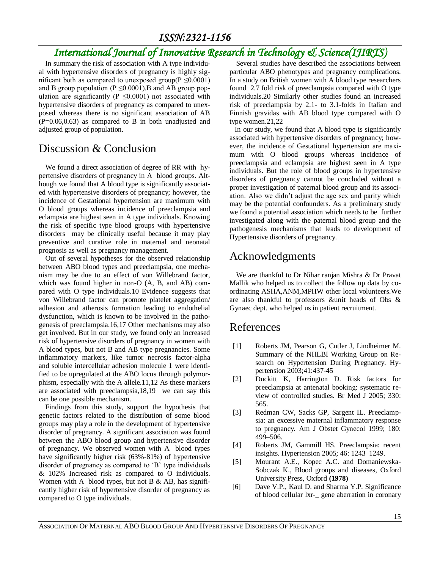# *International Journal of Innovative Research in Technology & Science(IJIRTS)*

In summary the risk of association with A type individual with hypertensive disorders of pregnancy is highly significant both as compared to unexposed group( $P \leq 0.0001$ ) and B group population ( $P \le 0.0001$ ). B and AB group population are significantly ( $P \le 0.0001$ ) not associated with hypertensive disorders of pregnancy as compared to unexposed whereas there is no significant association of AB  $(P=0.06, 0.63)$  as compared to B in both unadjusted and adjusted group of population.

#### Discussion & Conclusion

We found a direct association of degree of RR with hypertensive disorders of pregnancy in A blood groups. Although we found that A blood type is significantly associated with hypertensive disorders of pregnancy; however, the incidence of Gestational hypertension are maximum with O blood groups whereas incidence of preeclampsia and eclampsia are highest seen in A type individuals. Knowing the risk of specific type blood groups with hypertensive disorders may be clinically useful because it may play preventive and curative role in maternal and neonatal prognosis as well as pregnancy management.

Out of several hypotheses for the observed relationship between ABO blood types and preeclampsia, one mechanism may be due to an effect of von Willebrand factor, which was found higher in non-O (A, B, and AB) compared with O type individuals.10 Evidence suggests that von Willebrand factor can promote platelet aggregation/ adhesion and atherosis formation leading to endothelial dysfunction, which is known to be involved in the pathogenesis of preeclampsia.16,17 Other mechanisms may also get involved. But in our study, we found only an increased risk of hypertensive disorders of pregnancy in women with A blood types, but not B and AB type pregnancies. Some inflammatory markers, like tumor necrosis factor-alpha and soluble intercellular adhesion molecule 1 were identified to be upregulated at the ABO locus through polymorphism, especially with the A allele.11,12 As these markers are associated with preeclampsia,18,19 we can say this can be one possible mechanism.

Findings from this study, support the hypothesis that genetic factors related to the distribution of some blood groups may play a role in the development of hypertensive disorder of pregnancy. A significant association was found between the ABO blood group and hypertensive disorder of pregnancy. We observed women with A blood types have significantly higher risk (63%-81%) of hypertensive disorder of pregnancy as compared to 'B' type individuals & 102% Increased risk as compared to O individuals. Women with A blood types, but not B  $&$  AB, has significantly higher risk of hypertensive disorder of pregnancy as compared to O type individuals.

Several studies have described the associations between particular ABO phenotypes and pregnancy complications. In a study on British women with A blood type researchers found 2.7 fold risk of preeclampsia compared with O type individuals.20 Similarly other studies found an increased risk of preeclampsia by 2.1- to 3.1-folds in Italian and Finnish gravidas with AB blood type compared with O type women.21,22

 In our study, we found that A blood type is significantly associated with hypertensive disorders of pregnancy; however, the incidence of Gestational hypertension are maximum with O blood groups whereas incidence of preeclampsia and eclampsia are highest seen in A type individuals. But the role of blood groups in hypertensive disorders of pregnancy cannot be concluded without a proper investigation of paternal blood group and its association. Also we didn't adjust the age sex and parity which may be the potential confounders. As a preliminary study we found a potential association which needs to be further investigated along with the paternal blood group and the pathogenesis mechanisms that leads to development of Hypertensive disorders of pregnancy.

### Acknowledgments

We are thankful to Dr Nihar ranjan Mishra & Dr Pravat Mallik who helped us to collect the follow up data by coordinating ASHA,ANM,MPHW other local volunteers.We are also thankful to professors &unit heads of Obs & Gynaec dept. who helped us in patient recruitment.

#### References

- [1] Roberts JM, Pearson G, Cutler J, Lindheimer M. Summary of the NHLBI Working Group on Research on Hypertension During Pregnancy. Hypertension 2003;41:437-45
- [2] Duckitt K, Harrington D. Risk factors for preeclampsia at antenatal booking: systematic review of controlled studies. Br Med J 2005; 330: 565.
- [3] Redman CW, Sacks GP, Sargent IL. Preeclampsia: an excessive maternal inflammatory response to pregnancy. Am J Obstet Gynecol 1999; 180: 499–506.
- [4] Roberts JM, Gammill HS. Preeclampsia: recent insights. Hypertension 2005; 46: 1243–1249.
- [5] Mourant A.E., Kopec A.C. and Domaniewska-Sobczak K., Blood groups and diseases, Oxford University Press, Oxford **(1978)**
- [6] Dave V.P., Kaul D. and Sharma Y.P. Significance of blood cellular lxr-\_ gene aberration in coronary